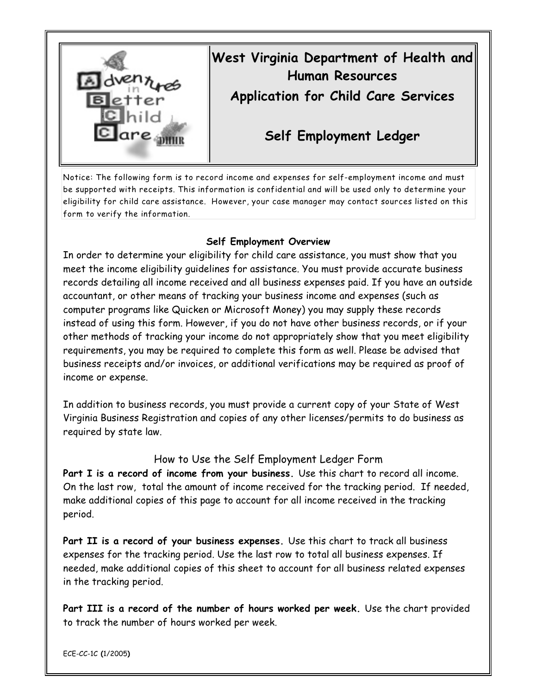

## **West Virginia Department of Health and Human Resources**

**Application for Child Care Services**

**Self Employment Ledger**

Notice: The following form is to record income and expenses for self-employment income and must be supported with receipts. This information is confidential and will be used only to determine your eligibility for child care assistance. However, your case manager may contact sources listed on this form to verify the information.

## **Self Employment Overview**

In order to determine your eligibility for child care assistance, you must show that you meet the income eligibility guidelines for assistance. You must provide accurate business records detailing all income received and all business expenses paid. If you have an outside accountant, or other means of tracking your business income and expenses (such as computer programs like Quicken or Microsoft Money) you may supply these records instead of using this form. However, if you do not have other business records, or if your other methods of tracking your income do not appropriately show that you meet eligibility requirements, you may be required to complete this form as well. Please be advised that business receipts and/or invoices, or additional verifications may be required as proof of income or expense.

In addition to business records, you must provide a current copy of your State of West Virginia Business Registration and copies of any other licenses/permits to do business as required by state law.

## How to Use the Self Employment Ledger Form

**Part I is a record of income from your business.** Use this chart to record all income. On the last row, total the amount of income received for the tracking period. If needed, make additional copies of this page to account for all income received in the tracking period.

**Part II is a record of your business expenses.** Use this chart to track all business expenses for the tracking period. Use the last row to total all business expenses. If needed, make additional copies of this sheet to account for all business related expenses in the tracking period.

**Part III is a record of the number of hours worked per week.** Use the chart provided to track the number of hours worked per week.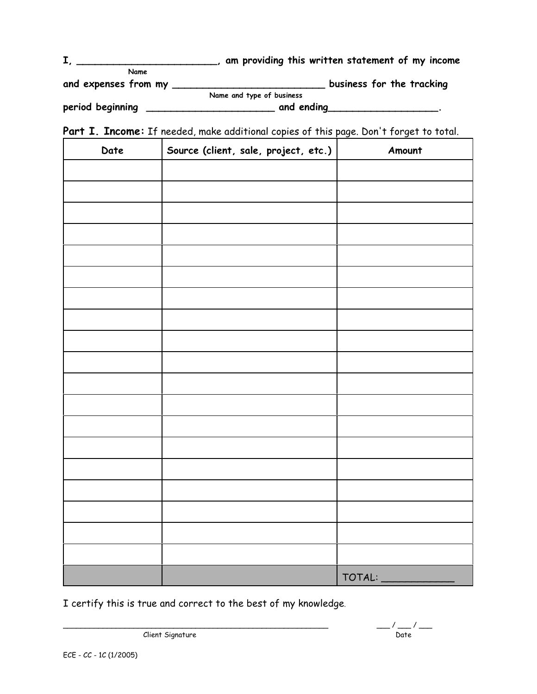|                      | am providing this written statement of my income |
|----------------------|--------------------------------------------------|
| Name                 |                                                  |
| and expenses from my | business for the tracking                        |
|                      | Name and type of business                        |
| period beginning     | and ending                                       |

Part I. Income: If needed, make additional copies of this page. Don't forget to total.

| Date | Source (client, sale, project, etc.) | Amount |
|------|--------------------------------------|--------|
|      |                                      |        |
|      |                                      |        |
|      |                                      |        |
|      |                                      |        |
|      |                                      |        |
|      |                                      |        |
|      |                                      |        |
|      |                                      |        |
|      |                                      |        |
|      |                                      |        |
|      |                                      |        |
|      |                                      |        |
|      |                                      |        |
|      |                                      |        |
|      |                                      |        |
|      |                                      |        |
|      |                                      |        |
|      |                                      |        |
|      |                                      |        |
|      |                                      | TOTAL: |

I certify this is true and correct to the best of my knowledge.

Client Signature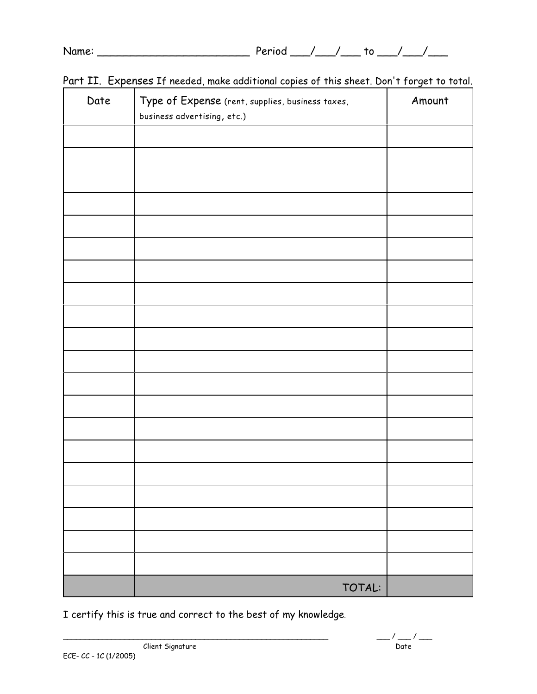| Name: | ாபட |  |  |
|-------|-----|--|--|
|       |     |  |  |

| Date | Type of Expense (rent, supplies, business taxes,<br>business advertising, etc.) | Amount |
|------|---------------------------------------------------------------------------------|--------|
|      |                                                                                 |        |
|      |                                                                                 |        |
|      |                                                                                 |        |
|      |                                                                                 |        |
|      |                                                                                 |        |
|      |                                                                                 |        |
|      |                                                                                 |        |
|      |                                                                                 |        |
|      |                                                                                 |        |
|      |                                                                                 |        |
|      |                                                                                 |        |
|      |                                                                                 |        |
|      |                                                                                 |        |
|      |                                                                                 |        |
|      |                                                                                 |        |
|      |                                                                                 |        |
|      |                                                                                 |        |
|      |                                                                                 |        |
|      |                                                                                 |        |
|      |                                                                                 |        |
|      | TOTAL:                                                                          |        |

|  |  |  | Part II. Expenses If needed, make additional copies of this sheet. Don't forget to total. |  |  |  |  |
|--|--|--|-------------------------------------------------------------------------------------------|--|--|--|--|
|--|--|--|-------------------------------------------------------------------------------------------|--|--|--|--|

I certify this is true and correct to the best of my knowledge.